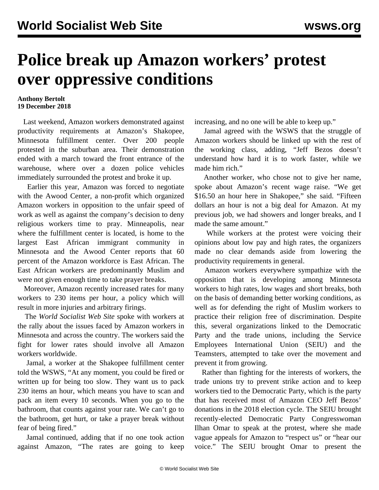## **Police break up Amazon workers' protest over oppressive conditions**

## **Anthony Bertolt 19 December 2018**

 Last weekend, Amazon workers demonstrated against productivity requirements at Amazon's Shakopee, Minnesota fulfillment center. Over 200 people protested in the suburban area. Their demonstration ended with a march toward the front entrance of the warehouse, where over a dozen police vehicles immediately surrounded the protest and broke it up.

 Earlier this year, Amazon was forced to negotiate with the Awood Center, a non-profit which organized Amazon workers in opposition to the unfair speed of work as well as against the company's decision to deny religious workers time to pray. Minneapolis, near where the fulfillment center is located, is home to the largest East African immigrant community in Minnesota and the Awood Center reports that 60 percent of the Amazon workforce is East African. The East African workers are predominantly Muslim and were not given enough time to take prayer breaks.

 Moreover, Amazon recently increased rates for many workers to 230 items per hour, a policy which will result in more injuries and arbitrary firings.

 The *World Socialist Web Site* spoke with workers at the rally about the issues faced by Amazon workers in Minnesota and across the country. The workers said the fight for lower rates should involve all Amazon workers worldwide.

 Jamal, a worker at the Shakopee fulfillment center told the WSWS, "At any moment, you could be fired or written up for being too slow. They want us to pack 230 items an hour, which means you have to scan and pack an item every 10 seconds. When you go to the bathroom, that counts against your rate. We can't go to the bathroom, get hurt, or take a prayer break without fear of being fired."

 Jamal continued, adding that if no one took action against Amazon, "The rates are going to keep increasing, and no one will be able to keep up."

 Jamal agreed with the WSWS that the struggle of Amazon workers should be linked up with the rest of the working class, adding, "Jeff Bezos doesn't understand how hard it is to work faster, while we made him rich."

 Another worker, who chose not to give her name, spoke about Amazon's recent wage raise. "We get \$16.50 an hour here in Shakopee," she said. "Fifteen dollars an hour is not a big deal for Amazon. At my previous job, we had showers and longer breaks, and I made the same amount."

 While workers at the protest were voicing their opinions about low pay and high rates, the organizers made no clear demands aside from lowering the productivity requirements in general.

 Amazon workers everywhere sympathize with the opposition that is developing among Minnesota workers to high rates, low wages and short breaks, both on the basis of demanding better working conditions, as well as for defending the right of Muslim workers to practice their religion free of discrimination. Despite this, several organizations linked to the Democratic Party and the trade unions, including the Service Employees International Union (SEIU) and the Teamsters, attempted to take over the movement and prevent it from growing.

 Rather than fighting for the interests of workers, the trade unions try to prevent strike action and to keep workers tied to the Democratic Party, which is the party that has received most of Amazon CEO Jeff Bezos' donations in the 2018 election cycle. The SEIU brought recently-elected Democratic Party Congresswoman Ilhan Omar to speak at the protest, where she made vague appeals for Amazon to "respect us" or "hear our voice." The SEIU brought Omar to present the